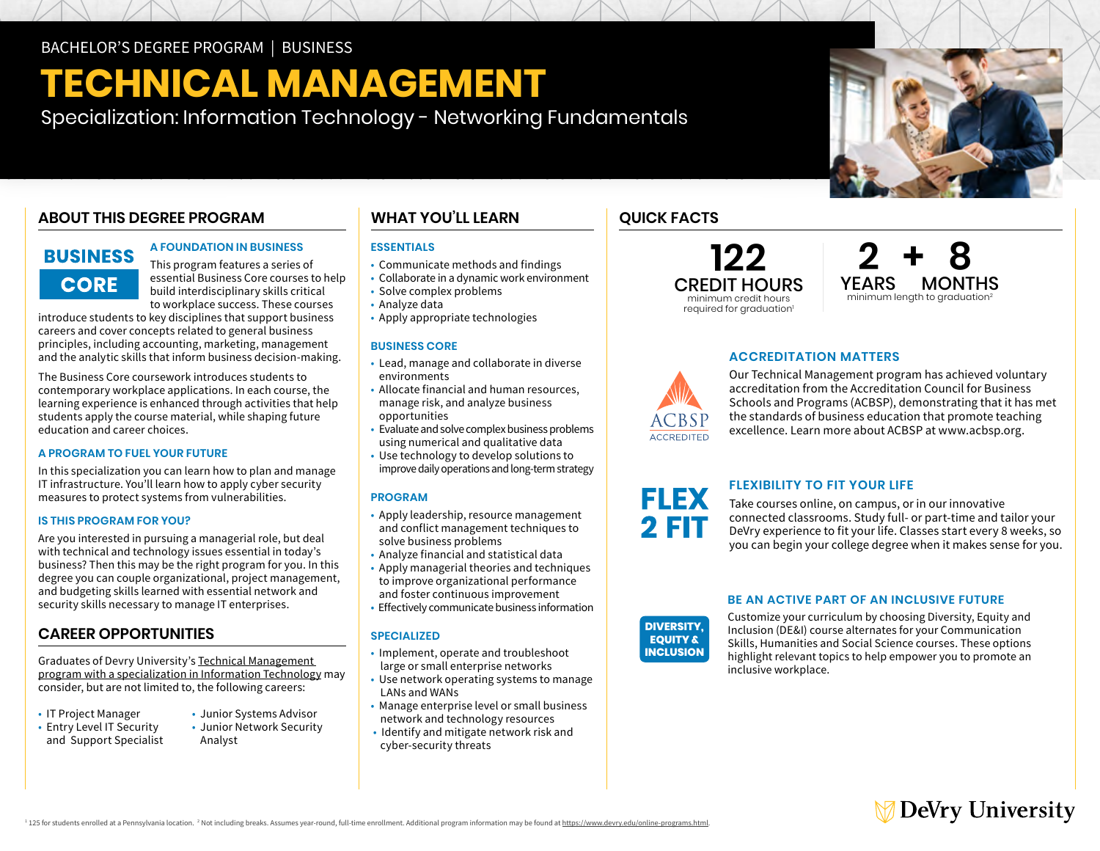# **TECHNICAL MANAGEMENT**

Specialization: Information Technology - Networking Fundamentals

### **ABOUT THIS DEGREE PROGRAM**

## **BUSINESS CORE**

### **A FOUNDATION IN BUSINESS**

This program features a series of essential Business Core courses to help build interdisciplinary skills critical to workplace success. These courses

introduce students to key disciplines that support business careers and cover concepts related to general business principles, including accounting, marketing, management and the analytic skills that inform business decision-making.

The Business Core coursework introduces students to contemporary workplace applications. In each course, the learning experience is enhanced through activities that help students apply the course material, while shaping future education and career choices.

### **A PROGRAM TO FUEL YOUR FUTURE**

In this specialization you can learn how to plan and manage IT infrastructure. You'll learn how to apply cyber security measures to protect systems from vulnerabilities.

### **IS THIS PROGRAM FOR YOU?**

Are you interested in pursuing a managerial role, but deal with technical and technology issues essential in today's business? Then this may be the right program for you. In this degree you can couple organizational, project management, and budgeting skills learned with essential network and security skills necessary to manage IT enterprises.

### **CAREER OPPORTUNITIES**

Graduates of Devry University's [Technical Management](https://www.devry.edu/online-programs/bachelors-degrees/business/information-technology-specialization.html)  [program with a specialization in Information Technology](https://www.devry.edu/online-programs/bachelors-degrees/business/information-technology-specialization.html) may consider, but are not limited to, the following careers:

- 
- and Support Specialist Analyst
- IT Project Manager Junior Systems Advisor Entry Level IT Security Junior Network Security
	- -

### **WHAT YOU'LL LEARN**

### **ESSENTIALS**

- Communicate methods and findings
- Collaborate in a dynamic work environment
- Solve complex problems
- Analyze data
- Apply appropriate technologies

### **BUSINESS CORE**

- • Lead, manage and collaborate in diverse environments
- • Allocate financial and human resources, opportunities manage risk, and analyze business
- opportunities Evaluate and solve complex business problems using numerical and qualitative data
- • Use technology to develop solutions to improve daily operations and long-term strategy

### **PROGRAM**

- • Apply leadership, resource management and conflict management techniques to solve business problems **CHAT YOU'LL LEARN**<br>
Communicate methods and findings<br>
Collaborate in a dynamic work environment<br>
FADN2 education and paramic work environment<br>
FADN2 educate in a dynamic work environment<br>
FADN2 educate in a dynamic work e
- Analyze financial and statistical data
- • Apply managerial theories and techniques to improve organizational performance and foster continuous improvement
- Effectively communicate business information

### **SPECIALIZED**

- Implement, operate and troubleshoot large or small enterprise networks
- Use network operating systems to manage LANs and WANs
- Manage enterprise level or small business network and technology resources
- cyber-security threats • Identify and mitigate network risk and



**122 2 + 8** minimum length to graduation<sup>2</sup>

### **ACCREDITATION MATTERS**



Our Technical Management program has achieved voluntary accreditation from the Accreditation Council for Business Schools and Programs (ACBSP), demonstrating that it has met the standards of business education that promote teaching excellence. Learn more about ACBSP at [www.acbsp.org](http://www.acbsp.org).

# **FLEXIBILITY TO FIT YOUR LIFE**

Take courses online, on campus, or in our innovative connected classrooms. Study full- or part-time and tailor your DeVry experience to fit your life. Classes start every 8 weeks, so you can begin your college degree when it makes sense for you.

### **BE AN ACTIVE PART OF AN INCLUSIVE FUTURE**

**DIVERSITY, EQUITY & INCLUSION**  Customize your curriculum by choosing Diversity, Equity and Inclusion (DE&I) course alternates for your Communication Skills, Humanities and Social Science courses. These options highlight relevant topics to help empower you to promote an inclusive workplace.